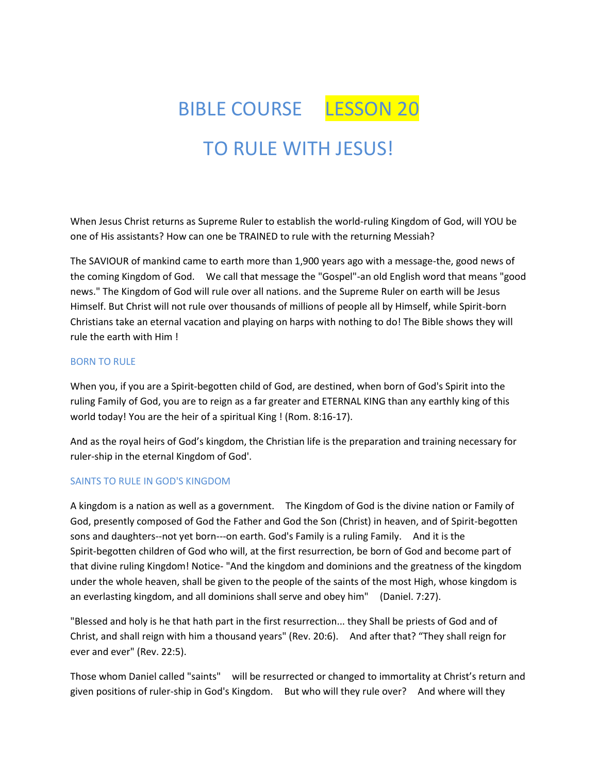

When Jesus Christ returns as Supreme Ruler to establish the world-ruling Kingdom of God, will YOU be one of His assistants? How can one be TRAINED to rule with the returning Messiah?

The SAVIOUR of mankind came to earth more than 1,900 years ago with a message-the, good news of the coming Kingdom of God. We call that message the "Gospel"-an old English word that means "good news." The Kingdom of God will rule over all nations. and the Supreme Ruler on earth will be Jesus Himself. But Christ will not rule over thousands of millions of people all by Himself, while Spirit-born Christians take an eternal vacation and playing on harps with nothing to do! The Bible shows they will rule the earth with Him !

### BORN TO RULE

When you, if you are a Spirit-begotten child of God, are destined, when born of God's Spirit into the ruling Family of God, you are to reign as a far greater and ETERNAL KING than any earthly king of this world today! You are the heir of a spiritual King ! (Rom. 8:16-17).

And as the royal heirs of God's kingdom, the Christian life is the preparation and training necessary for ruler-ship in the eternal Kingdom of God'.

## SAINTS TO RULE IN GOD'S KINGDOM

A kingdom is a nation as well as a government. The Kingdom of God is the divine nation or Family of God, presently composed of God the Father and God the Son (Christ) in heaven, and of Spirit-begotten sons and daughters--not yet born---on earth. God's Family is a ruling Family. And it is the Spirit-begotten children of God who will, at the first resurrection, be born of God and become part of that divine ruling Kingdom! Notice- "And the kingdom and dominions and the greatness of the kingdom under the whole heaven, shall be given to the people of the saints of the most High, whose kingdom is an everlasting kingdom, and all dominions shall serve and obey him" (Daniel. 7:27).

"Blessed and holy is he that hath part in the first resurrection... they Shall be priests of God and of Christ, and shall reign with him a thousand years" (Rev. 20:6). And after that? "They shall reign for ever and ever" (Rev. 22:5).

Those whom Daniel called "saints" will be resurrected or changed to immortality at Christ's return and given positions of ruler-ship in God's Kingdom. But who will they rule over? And where will they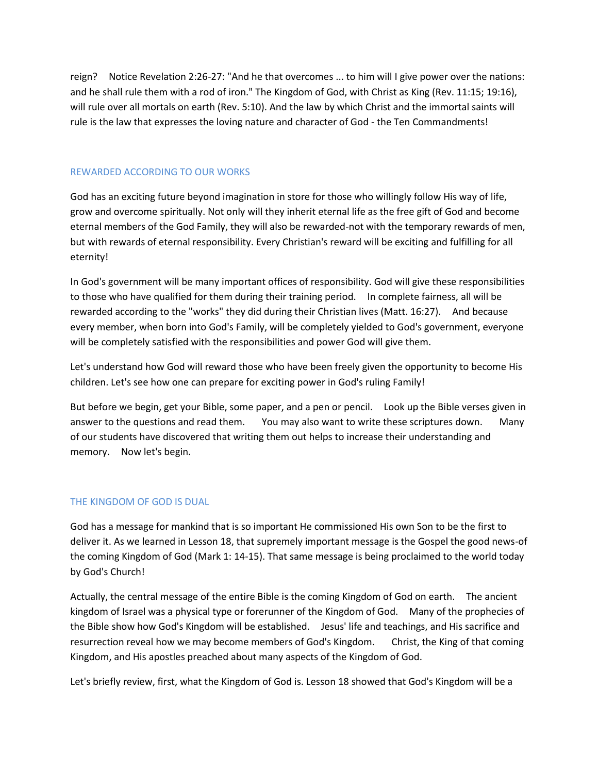reign? Notice Revelation 2:26-27: "And he that overcomes ... to him will I give power over the nations: and he shall rule them with a rod of iron." The Kingdom of God, with Christ as King (Rev. 11:15; 19:16), will rule over all mortals on earth (Rev. 5:10). And the law by which Christ and the immortal saints will rule is the law that expresses the loving nature and character of God - the Ten Commandments!

## REWARDED ACCORDING TO OUR WORKS

God has an exciting future beyond imagination in store for those who willingly follow His way of life, grow and overcome spiritually. Not only will they inherit eternal life as the free gift of God and become eternal members of the God Family, they will also be rewarded-not with the temporary rewards of men, but with rewards of eternal responsibility. Every Christian's reward will be exciting and fulfilling for all eternity!

In God's government will be many important offices of responsibility. God will give these responsibilities to those who have qualified for them during their training period. In complete fairness, all will be rewarded according to the "works" they did during their Christian lives (Matt. 16:27). And because every member, when born into God's Family, will be completely yielded to God's government, everyone will be completely satisfied with the responsibilities and power God will give them.

Let's understand how God will reward those who have been freely given the opportunity to become His children. Let's see how one can prepare for exciting power in God's ruling Family!

But before we begin, get your Bible, some paper, and a pen or pencil. Look up the Bible verses given in answer to the questions and read them. You may also want to write these scriptures down. Many of our students have discovered that writing them out helps to increase their understanding and memory. Now let's begin.

## THE KINGDOM OF GOD IS DUAL

God has a message for mankind that is so important He commissioned His own Son to be the first to deliver it. As we learned in Lesson 18, that supremely important message is the Gospel the good news-of the coming Kingdom of God (Mark 1: 14-15). That same message is being proclaimed to the world today by God's Church!

Actually, the central message of the entire Bible is the coming Kingdom of God on earth. The ancient kingdom of Israel was a physical type or forerunner of the Kingdom of God. Many of the prophecies of the Bible show how God's Kingdom will be established. Jesus' life and teachings, and His sacrifice and resurrection reveal how we may become members of God's Kingdom. Christ, the King of that coming Kingdom, and His apostles preached about many aspects of the Kingdom of God.

Let's briefly review, first, what the Kingdom of God is. Lesson 18 showed that God's Kingdom will be a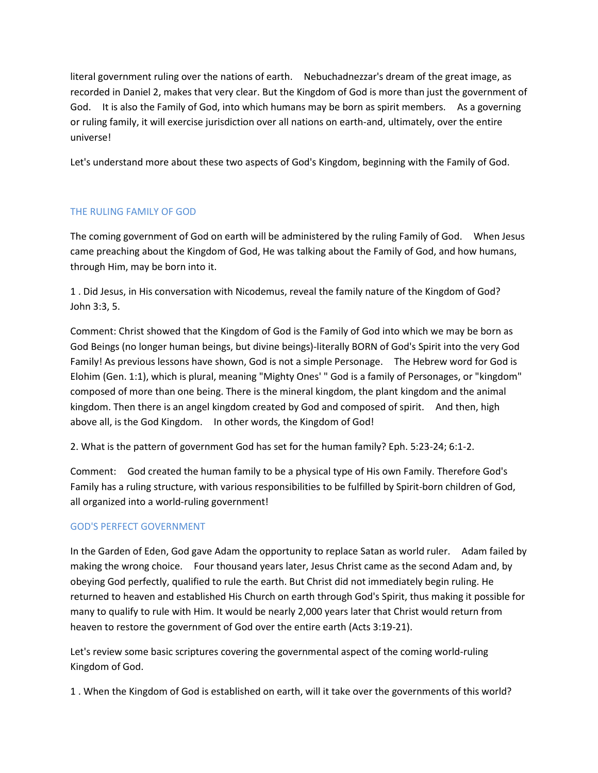literal government ruling over the nations of earth. Nebuchadnezzar's dream of the great image, as recorded in Daniel 2, makes that very clear. But the Kingdom of God is more than just the government of God. It is also the Family of God, into which humans may be born as spirit members. As a governing or ruling family, it will exercise jurisdiction over all nations on earth-and, ultimately, over the entire universe!

Let's understand more about these two aspects of God's Kingdom, beginning with the Family of God.

# THE RULING FAMILY OF GOD

The coming government of God on earth will be administered by the ruling Family of God. When Jesus came preaching about the Kingdom of God, He was talking about the Family of God, and how humans, through Him, may be born into it.

1 . Did Jesus, in His conversation with Nicodemus, reveal the family nature of the Kingdom of God? John 3:3, 5.

Comment: Christ showed that the Kingdom of God is the Family of God into which we may be born as God Beings (no longer human beings, but divine beings)-literally BORN of God's Spirit into the very God Family! As previous lessons have shown, God is not a simple Personage. The Hebrew word for God is Elohim (Gen. 1:1), which is plural, meaning "Mighty Ones' " God is a family of Personages, or "kingdom" composed of more than one being. There is the mineral kingdom, the plant kingdom and the animal kingdom. Then there is an angel kingdom created by God and composed of spirit. And then, high above all, is the God Kingdom. In other words, the Kingdom of God!

2. What is the pattern of government God has set for the human family? Eph. 5:23-24; 6:1-2.

Comment: God created the human family to be a physical type of His own Family. Therefore God's Family has a ruling structure, with various responsibilities to be fulfilled by Spirit-born children of God, all organized into a world-ruling government!

## GOD'S PERFECT GOVERNMENT

In the Garden of Eden, God gave Adam the opportunity to replace Satan as world ruler. Adam failed by making the wrong choice. Four thousand years later, Jesus Christ came as the second Adam and, by obeying God perfectly, qualified to rule the earth. But Christ did not immediately begin ruling. He returned to heaven and established His Church on earth through God's Spirit, thus making it possible for many to qualify to rule with Him. It would be nearly 2,000 years later that Christ would return from heaven to restore the government of God over the entire earth (Acts 3:19-21).

Let's review some basic scriptures covering the governmental aspect of the coming world-ruling Kingdom of God.

1 . When the Kingdom of God is established on earth, will it take over the governments of this world?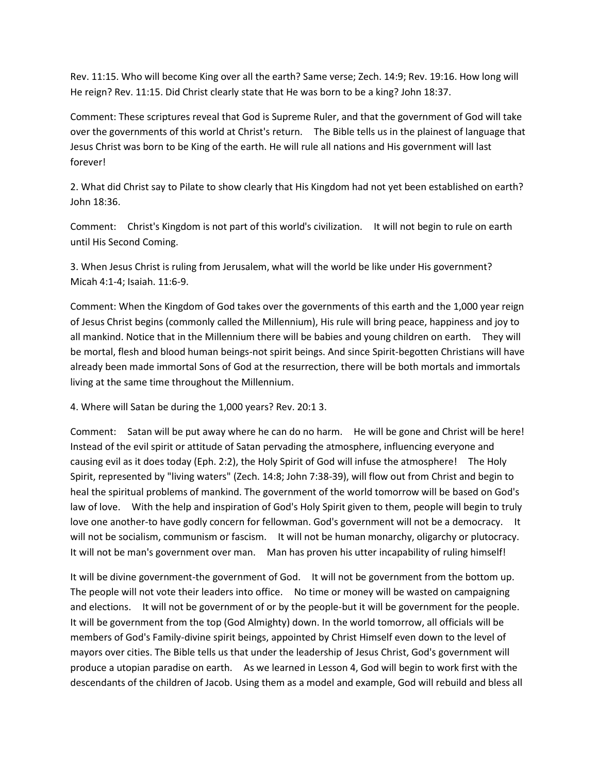Rev. 11:15. Who will become King over all the earth? Same verse; Zech. 14:9; Rev. 19:16. How long will He reign? Rev. 11:15. Did Christ clearly state that He was born to be a king? John 18:37.

Comment: These scriptures reveal that God is Supreme Ruler, and that the government of God will take over the governments of this world at Christ's return. The Bible tells us in the plainest of language that Jesus Christ was born to be King of the earth. He will rule all nations and His government will last forever!

2. What did Christ say to Pilate to show clearly that His Kingdom had not yet been established on earth? John 18:36.

Comment: Christ's Kingdom is not part of this world's civilization. It will not begin to rule on earth until His Second Coming.

3. When Jesus Christ is ruling from Jerusalem, what will the world be like under His government? Micah 4:1-4; Isaiah. 11:6-9.

Comment: When the Kingdom of God takes over the governments of this earth and the 1,000 year reign of Jesus Christ begins (commonly called the Millennium), His rule will bring peace, happiness and joy to all mankind. Notice that in the Millennium there will be babies and young children on earth. They will be mortal, flesh and blood human beings-not spirit beings. And since Spirit-begotten Christians will have already been made immortal Sons of God at the resurrection, there will be both mortals and immortals living at the same time throughout the Millennium.

4. Where will Satan be during the 1,000 years? Rev. 20:1 3.

Comment: Satan will be put away where he can do no harm. He will be gone and Christ will be here! Instead of the evil spirit or attitude of Satan pervading the atmosphere, influencing everyone and causing evil as it does today (Eph. 2:2), the Holy Spirit of God will infuse the atmosphere! The Holy Spirit, represented by "living waters" (Zech. 14:8; John 7:38-39), will flow out from Christ and begin to heal the spiritual problems of mankind. The government of the world tomorrow will be based on God's law of love. With the help and inspiration of God's Holy Spirit given to them, people will begin to truly love one another-to have godly concern for fellowman. God's government will not be a democracy. It will not be socialism, communism or fascism. It will not be human monarchy, oligarchy or plutocracy. It will not be man's government over man. Man has proven his utter incapability of ruling himself!

It will be divine government-the government of God. It will not be government from the bottom up. The people will not vote their leaders into office. No time or money will be wasted on campaigning and elections. It will not be government of or by the people-but it will be government for the people. It will be government from the top (God Almighty) down. In the world tomorrow, all officials will be members of God's Family-divine spirit beings, appointed by Christ Himself even down to the level of mayors over cities. The Bible tells us that under the leadership of Jesus Christ, God's government will produce a utopian paradise on earth. As we learned in Lesson 4, God will begin to work first with the descendants of the children of Jacob. Using them as a model and example, God will rebuild and bless all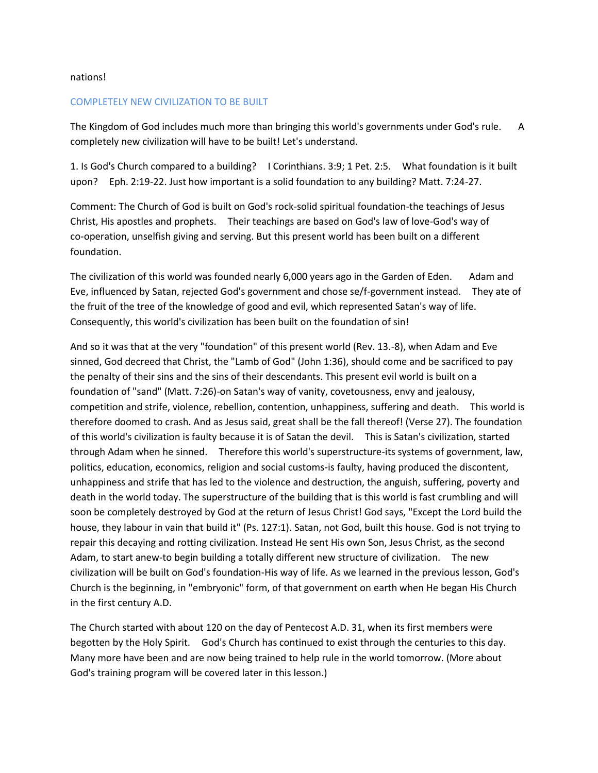#### nations!

#### COMPLETELY NEW CIVILIZATION TO BE BUILT

The Kingdom of God includes much more than bringing this world's governments under God's rule. A completely new civilization will have to be built! Let's understand.

1. Is God's Church compared to a building? I Corinthians. 3:9; 1 Pet. 2:5. What foundation is it built upon? Eph. 2:19-22. Just how important is a solid foundation to any building? Matt. 7:24-27.

Comment: The Church of God is built on God's rock-solid spiritual foundation-the teachings of Jesus Christ, His apostles and prophets. Their teachings are based on God's law of love-God's way of co-operation, unselfish giving and serving. But this present world has been built on a different foundation.

The civilization of this world was founded nearly 6,000 years ago in the Garden of Eden. Adam and Eve, influenced by Satan, rejected God's government and chose se/f-government instead. They ate of the fruit of the tree of the knowledge of good and evil, which represented Satan's way of life. Consequently, this world's civilization has been built on the foundation of sin!

And so it was that at the very "foundation" of this present world (Rev. 13.-8), when Adam and Eve sinned, God decreed that Christ, the "Lamb of God" (John 1:36), should come and be sacrificed to pay the penalty of their sins and the sins of their descendants. This present evil world is built on a foundation of "sand" (Matt. 7:26)-on Satan's way of vanity, covetousness, envy and jealousy, competition and strife, violence, rebellion, contention, unhappiness, suffering and death. This world is therefore doomed to crash. And as Jesus said, great shall be the fall thereof! (Verse 27). The foundation of this world's civilization is faulty because it is of Satan the devil. This is Satan's civilization, started through Adam when he sinned. Therefore this world's superstructure-its systems of government, law, politics, education, economics, religion and social customs-is faulty, having produced the discontent, unhappiness and strife that has led to the violence and destruction, the anguish, suffering, poverty and death in the world today. The superstructure of the building that is this world is fast crumbling and will soon be completely destroyed by God at the return of Jesus Christ! God says, "Except the Lord build the house, they labour in vain that build it" (Ps. 127:1). Satan, not God, built this house. God is not trying to repair this decaying and rotting civilization. Instead He sent His own Son, Jesus Christ, as the second Adam, to start anew-to begin building a totally different new structure of civilization. The new civilization will be built on God's foundation-His way of life. As we learned in the previous lesson, God's Church is the beginning, in "embryonic" form, of that government on earth when He began His Church in the first century A.D.

The Church started with about 120 on the day of Pentecost A.D. 31, when its first members were begotten by the Holy Spirit. God's Church has continued to exist through the centuries to this day. Many more have been and are now being trained to help rule in the world tomorrow. (More about God's training program will be covered later in this lesson.)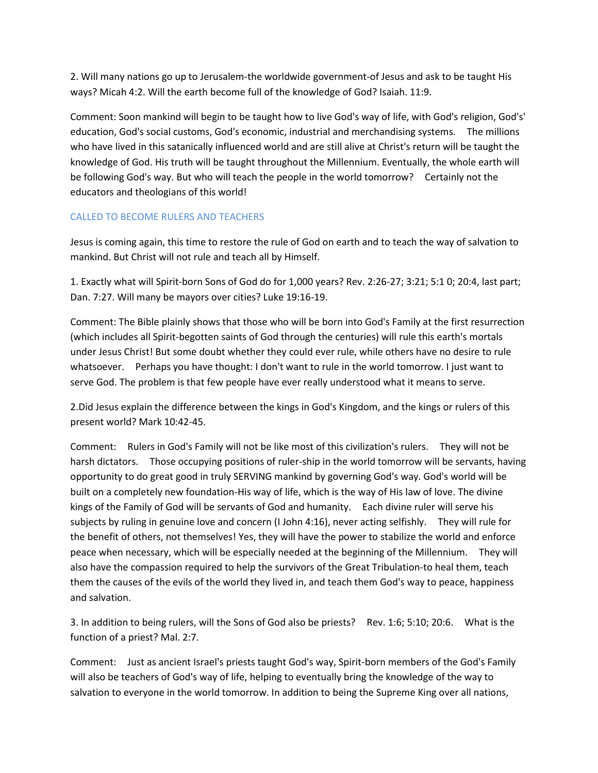2. Will many nations go up to Jerusalem-the worldwide government-of Jesus and ask to be taught His ways? Micah 4:2. Will the earth become full of the knowledge of God? Isaiah. 11:9.

Comment: Soon mankind will begin to be taught how to live God's way of life, with God's religion, God's' education, God's social customs, God's economic, industrial and merchandising systems. The millions who have lived in this satanically influenced world and are still alive at Christ's return will be taught the knowledge of God. His truth will be taught throughout the Millennium. Eventually, the whole earth will be following God's way. But who will teach the people in the world tomorrow? Certainly not the educators and theologians of this world!

## CALLED TO BECOME RULERS AND TEACHERS

Jesus is coming again, this time to restore the rule of God on earth and to teach the way of salvation to mankind. But Christ will not rule and teach all by Himself.

1. Exactly what will Spirit-born Sons of God do for 1,000 years? Rev. 2:26-27; 3:21; 5:1 0; 20:4, last part; Dan. 7:27. Will many be mayors over cities? Luke 19:16-19.

Comment: The Bible plainly shows that those who will be born into God's Family at the first resurrection (which includes all Spirit-begotten saints of God through the centuries) will rule this earth's mortals under Jesus Christ! But some doubt whether they could ever rule, while others have no desire to rule whatsoever. Perhaps you have thought: I don't want to rule in the world tomorrow. I just want to serve God. The problem is that few people have ever really understood what it means to serve.

2.Did Jesus explain the difference between the kings in God's Kingdom, and the kings or rulers of this present world? Mark 10:42-45.

Comment: Rulers in God's Family will not be like most of this civilization's rulers. They will not be harsh dictators. Those occupying positions of ruler-ship in the world tomorrow will be servants, having opportunity to do great good in truly SERVING mankind by governing God's way. God's world will be built on a completely new foundation-His way of life, which is the way of His law of love. The divine kings of the Family of God will be servants of God and humanity. Each divine ruler will serve his subjects by ruling in genuine love and concern (I John 4:16), never acting selfishly. They will rule for the benefit of others, not themselves! Yes, they will have the power to stabilize the world and enforce peace when necessary, which will be especially needed at the beginning of the Millennium. They will also have the compassion required to help the survivors of the Great Tribulation-to heal them, teach them the causes of the evils of the world they lived in, and teach them God's way to peace, happiness and salvation.

3. In addition to being rulers, will the Sons of God also be priests? Rev. 1:6; 5:10; 20:6. What is the function of a priest? Mal. 2:7.

Comment: Just as ancient Israel's priests taught God's way, Spirit-born members of the God's Family will also be teachers of God's way of life, helping to eventually bring the knowledge of the way to salvation to everyone in the world tomorrow. In addition to being the Supreme King over all nations,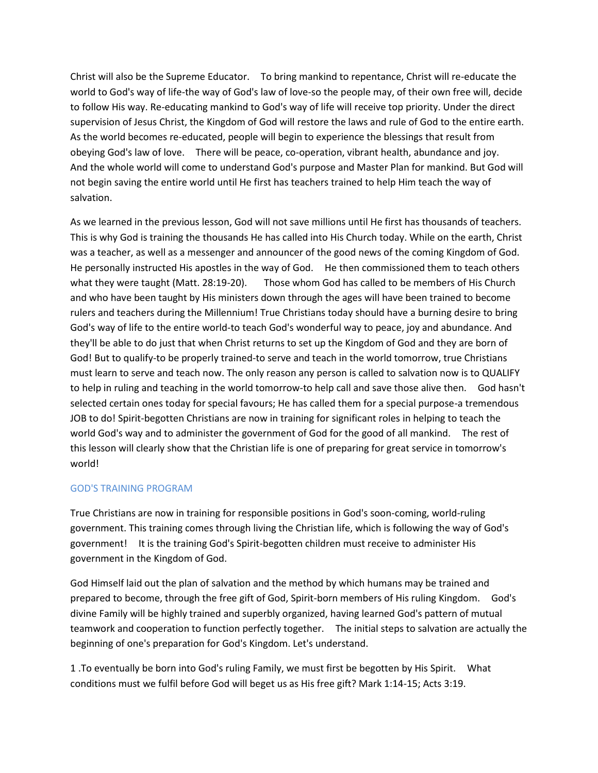Christ will also be the Supreme Educator. To bring mankind to repentance, Christ will re-educate the world to God's way of life-the way of God's law of love-so the people may, of their own free will, decide to follow His way. Re-educating mankind to God's way of life will receive top priority. Under the direct supervision of Jesus Christ, the Kingdom of God will restore the laws and rule of God to the entire earth. As the world becomes re-educated, people will begin to experience the blessings that result from obeying God's law of love. There will be peace, co-operation, vibrant health, abundance and joy. And the whole world will come to understand God's purpose and Master Plan for mankind. But God will not begin saving the entire world until He first has teachers trained to help Him teach the way of salvation.

As we learned in the previous lesson, God will not save millions until He first has thousands of teachers. This is why God is training the thousands He has called into His Church today. While on the earth, Christ was a teacher, as well as a messenger and announcer of the good news of the coming Kingdom of God. He personally instructed His apostles in the way of God. He then commissioned them to teach others what they were taught (Matt. 28:19-20). Those whom God has called to be members of His Church and who have been taught by His ministers down through the ages will have been trained to become rulers and teachers during the Millennium! True Christians today should have a burning desire to bring God's way of life to the entire world-to teach God's wonderful way to peace, joy and abundance. And they'll be able to do just that when Christ returns to set up the Kingdom of God and they are born of God! But to qualify-to be properly trained-to serve and teach in the world tomorrow, true Christians must learn to serve and teach now. The only reason any person is called to salvation now is to QUALIFY to help in ruling and teaching in the world tomorrow-to help call and save those alive then. God hasn't selected certain ones today for special favours; He has called them for a special purpose-a tremendous JOB to do! Spirit-begotten Christians are now in training for significant roles in helping to teach the world God's way and to administer the government of God for the good of all mankind. The rest of this lesson will clearly show that the Christian life is one of preparing for great service in tomorrow's world!

## GOD'S TRAINING PROGRAM

True Christians are now in training for responsible positions in God's soon-coming, world-ruling government. This training comes through living the Christian life, which is following the way of God's government! It is the training God's Spirit-begotten children must receive to administer His government in the Kingdom of God.

God Himself laid out the plan of salvation and the method by which humans may be trained and prepared to become, through the free gift of God, Spirit-born members of His ruling Kingdom. God's divine Family will be highly trained and superbly organized, having learned God's pattern of mutual teamwork and cooperation to function perfectly together. The initial steps to salvation are actually the beginning of one's preparation for God's Kingdom. Let's understand.

1 .To eventually be born into God's ruling Family, we must first be begotten by His Spirit. What conditions must we fulfil before God will beget us as His free gift? Mark 1:14-15; Acts 3:19.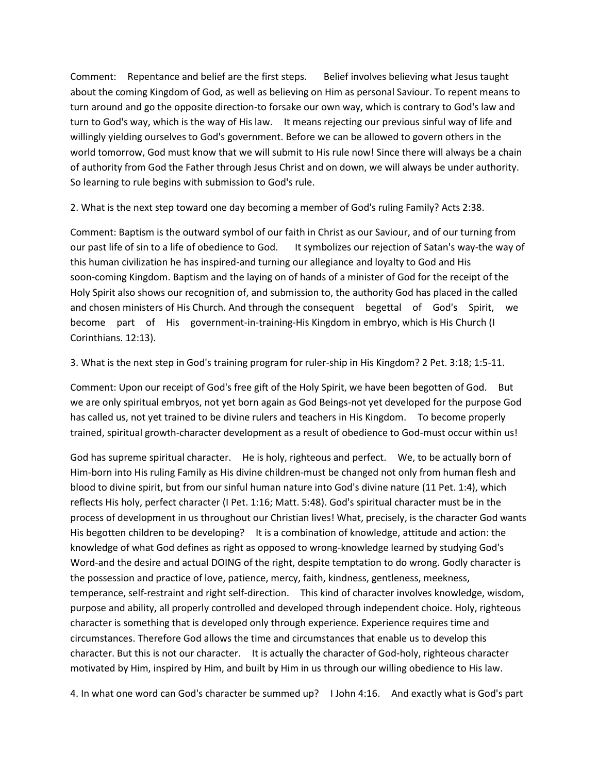Comment: Repentance and belief are the first steps. Belief involves believing what Jesus taught about the coming Kingdom of God, as well as believing on Him as personal Saviour. To repent means to turn around and go the opposite direction-to forsake our own way, which is contrary to God's law and turn to God's way, which is the way of His law. It means rejecting our previous sinful way of life and willingly yielding ourselves to God's government. Before we can be allowed to govern others in the world tomorrow, God must know that we will submit to His rule now! Since there will always be a chain of authority from God the Father through Jesus Christ and on down, we will always be under authority. So learning to rule begins with submission to God's rule.

2. What is the next step toward one day becoming a member of God's ruling Family? Acts 2:38.

Comment: Baptism is the outward symbol of our faith in Christ as our Saviour, and of our turning from our past life of sin to a life of obedience to God. It symbolizes our rejection of Satan's way-the way of this human civilization he has inspired-and turning our allegiance and loyalty to God and His soon-coming Kingdom. Baptism and the laying on of hands of a minister of God for the receipt of the Holy Spirit also shows our recognition of, and submission to, the authority God has placed in the called and chosen ministers of His Church. And through the consequent begettal of God's Spirit, we become part of His government-in-training-His Kingdom in embryo, which is His Church (I Corinthians. 12:13).

3. What is the next step in God's training program for ruler-ship in His Kingdom? 2 Pet. 3:18; 1:5-11.

Comment: Upon our receipt of God's free gift of the Holy Spirit, we have been begotten of God. But we are only spiritual embryos, not yet born again as God Beings-not yet developed for the purpose God has called us, not yet trained to be divine rulers and teachers in His Kingdom. To become properly trained, spiritual growth-character development as a result of obedience to God-must occur within us!

God has supreme spiritual character. He is holy, righteous and perfect. We, to be actually born of Him-born into His ruling Family as His divine children-must be changed not only from human flesh and blood to divine spirit, but from our sinful human nature into God's divine nature (11 Pet. 1:4), which reflects His holy, perfect character (I Pet. 1:16; Matt. 5:48). God's spiritual character must be in the process of development in us throughout our Christian lives! What, precisely, is the character God wants His begotten children to be developing? It is a combination of knowledge, attitude and action: the knowledge of what God defines as right as opposed to wrong-knowledge learned by studying God's Word-and the desire and actual DOING of the right, despite temptation to do wrong. Godly character is the possession and practice of love, patience, mercy, faith, kindness, gentleness, meekness, temperance, self-restraint and right self-direction. This kind of character involves knowledge, wisdom, purpose and ability, all properly controlled and developed through independent choice. Holy, righteous character is something that is developed only through experience. Experience requires time and circumstances. Therefore God allows the time and circumstances that enable us to develop this character. But this is not our character. It is actually the character of God-holy, righteous character motivated by Him, inspired by Him, and built by Him in us through our willing obedience to His law.

4. In what one word can God's character be summed up? I John 4:16. And exactly what is God's part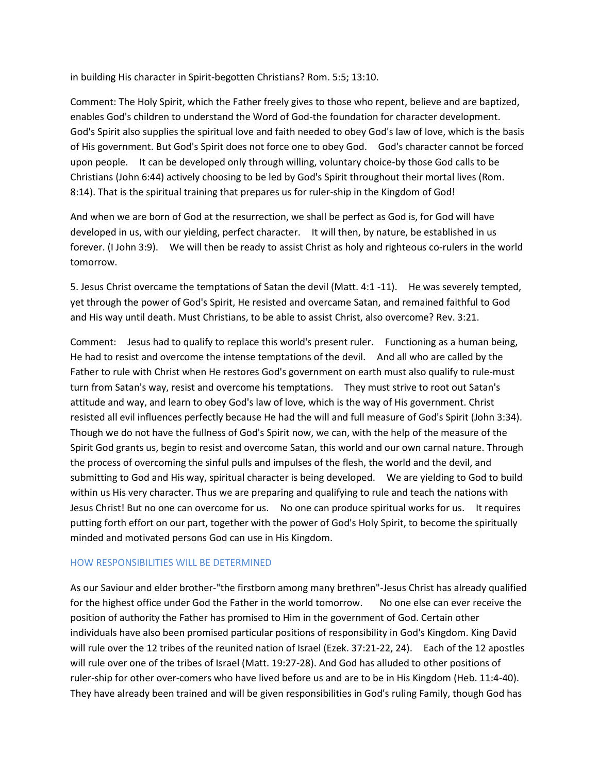in building His character in Spirit-begotten Christians? Rom. 5:5; 13:10.

Comment: The Holy Spirit, which the Father freely gives to those who repent, believe and are baptized, enables God's children to understand the Word of God-the foundation for character development. God's Spirit also supplies the spiritual love and faith needed to obey God's law of love, which is the basis of His government. But God's Spirit does not force one to obey God. God's character cannot be forced upon people. It can be developed only through willing, voluntary choice-by those God calls to be Christians (John 6:44) actively choosing to be led by God's Spirit throughout their mortal lives (Rom. 8:14). That is the spiritual training that prepares us for ruler-ship in the Kingdom of God!

And when we are born of God at the resurrection, we shall be perfect as God is, for God will have developed in us, with our yielding, perfect character. It will then, by nature, be established in us forever. (I John 3:9). We will then be ready to assist Christ as holy and righteous co-rulers in the world tomorrow.

5. Jesus Christ overcame the temptations of Satan the devil (Matt. 4:1 -11). He was severely tempted, yet through the power of God's Spirit, He resisted and overcame Satan, and remained faithful to God and His way until death. Must Christians, to be able to assist Christ, also overcome? Rev. 3:21.

Comment: Jesus had to qualify to replace this world's present ruler. Functioning as a human being, He had to resist and overcome the intense temptations of the devil. And all who are called by the Father to rule with Christ when He restores God's government on earth must also qualify to rule-must turn from Satan's way, resist and overcome his temptations. They must strive to root out Satan's attitude and way, and learn to obey God's law of love, which is the way of His government. Christ resisted all evil influences perfectly because He had the will and full measure of God's Spirit (John 3:34). Though we do not have the fullness of God's Spirit now, we can, with the help of the measure of the Spirit God grants us, begin to resist and overcome Satan, this world and our own carnal nature. Through the process of overcoming the sinful pulls and impulses of the flesh, the world and the devil, and submitting to God and His way, spiritual character is being developed. We are yielding to God to build within us His very character. Thus we are preparing and qualifying to rule and teach the nations with Jesus Christ! But no one can overcome for us. No one can produce spiritual works for us. It requires putting forth effort on our part, together with the power of God's Holy Spirit, to become the spiritually minded and motivated persons God can use in His Kingdom.

## HOW RESPONSIBILITIES WILL BE DETERMINED

As our Saviour and elder brother-"the firstborn among many brethren"-Jesus Christ has already qualified for the highest office under God the Father in the world tomorrow. No one else can ever receive the position of authority the Father has promised to Him in the government of God. Certain other individuals have also been promised particular positions of responsibility in God's Kingdom. King David will rule over the 12 tribes of the reunited nation of Israel (Ezek. 37:21-22, 24). Each of the 12 apostles will rule over one of the tribes of Israel (Matt. 19:27-28). And God has alluded to other positions of ruler-ship for other over-comers who have lived before us and are to be in His Kingdom (Heb. 11:4-40). They have already been trained and will be given responsibilities in God's ruling Family, though God has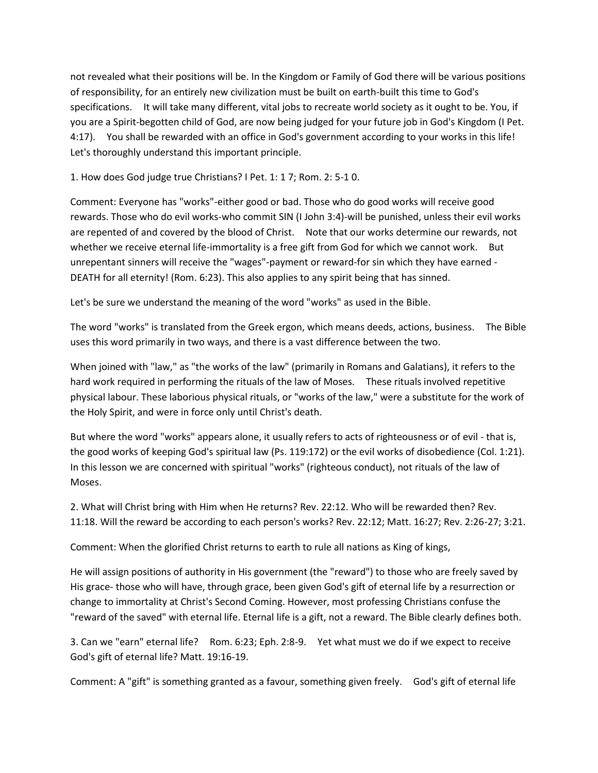not revealed what their positions will be. In the Kingdom or Family of God there will be various positions of responsibility, for an entirely new civilization must be built on earth-built this time to God's specifications. It will take many different, vital jobs to recreate world society as it ought to be. You, if you are a Spirit-begotten child of God, are now being judged for your future job in God's Kingdom (I Pet. 4:17). You shall be rewarded with an office in God's government according to your works in this life! Let's thoroughly understand this important principle.

1. How does God judge true Christians? I Pet. 1: 1 7; Rom. 2: 5-1 0.

Comment: Everyone has "works"-either good or bad. Those who do good works will receive good rewards. Those who do evil works-who commit SIN (I John 3:4)-will be punished, unless their evil works are repented of and covered by the blood of Christ. Note that our works determine our rewards, not whether we receive eternal life-immortality is a free gift from God for which we cannot work. But unrepentant sinners will receive the "wages"-payment or reward-for sin which they have earned - DEATH for all eternity! (Rom. 6:23). This also applies to any spirit being that has sinned.

Let's be sure we understand the meaning of the word "works" as used in the Bible.

The word "works" is translated from the Greek ergon, which means deeds, actions, business. The Bible uses this word primarily in two ways, and there is a vast difference between the two.

When joined with "law," as "the works of the law" (primarily in Romans and Galatians), it refers to the hard work required in performing the rituals of the law of Moses. These rituals involved repetitive physical labour. These laborious physical rituals, or "works of the law," were a substitute for the work of the Holy Spirit, and were in force only until Christ's death.

But where the word "works" appears alone, it usually refers to acts of righteousness or of evil - that is, the good works of keeping God's spiritual law (Ps. 119:172) or the evil works of disobedience (Col. 1:21). In this lesson we are concerned with spiritual "works" (righteous conduct), not rituals of the law of Moses.

2. What will Christ bring with Him when He returns? Rev. 22:12. Who will be rewarded then? Rev. 11:18. Will the reward be according to each person's works? Rev. 22:12; Matt. 16:27; Rev. 2:26-27; 3:21.

Comment: When the glorified Christ returns to earth to rule all nations as King of kings,

He will assign positions of authority in His government (the "reward") to those who are freely saved by His grace- those who will have, through grace, been given God's gift of eternal life by a resurrection or change to immortality at Christ's Second Coming. However, most professing Christians confuse the "reward of the saved" with eternal life. Eternal life is a gift, not a reward. The Bible clearly defines both.

3. Can we "earn" eternal life? Rom. 6:23; Eph. 2:8-9. Yet what must we do if we expect to receive God's gift of eternal life? Matt. 19:16-19.

Comment: A "gift" is something granted as a favour, something given freely. God's gift of eternal life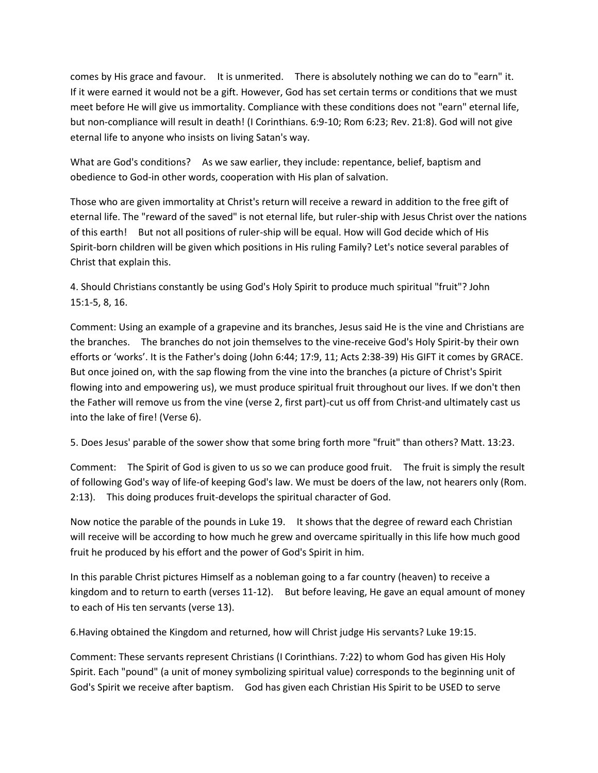comes by His grace and favour. It is unmerited. There is absolutely nothing we can do to "earn" it. If it were earned it would not be a gift. However, God has set certain terms or conditions that we must meet before He will give us immortality. Compliance with these conditions does not "earn" eternal life, but non-compliance will result in death! (I Corinthians. 6:9-10; Rom 6:23; Rev. 21:8). God will not give eternal life to anyone who insists on living Satan's way.

What are God's conditions? As we saw earlier, they include: repentance, belief, baptism and obedience to God-in other words, cooperation with His plan of salvation.

Those who are given immortality at Christ's return will receive a reward in addition to the free gift of eternal life. The "reward of the saved" is not eternal life, but ruler-ship with Jesus Christ over the nations of this earth! But not all positions of ruler-ship will be equal. How will God decide which of His Spirit-born children will be given which positions in His ruling Family? Let's notice several parables of Christ that explain this.

4. Should Christians constantly be using God's Holy Spirit to produce much spiritual "fruit"? John 15:1-5, 8, 16.

Comment: Using an example of a grapevine and its branches, Jesus said He is the vine and Christians are the branches. The branches do not join themselves to the vine-receive God's Holy Spirit-by their own efforts or 'works'. It is the Father's doing (John 6:44; 17:9, 11; Acts 2:38-39) His GIFT it comes by GRACE. But once joined on, with the sap flowing from the vine into the branches (a picture of Christ's Spirit flowing into and empowering us), we must produce spiritual fruit throughout our lives. If we don't then the Father will remove us from the vine (verse 2, first part)-cut us off from Christ-and ultimately cast us into the lake of fire! (Verse 6).

5. Does Jesus' parable of the sower show that some bring forth more "fruit" than others? Matt. 13:23.

Comment: The Spirit of God is given to us so we can produce good fruit. The fruit is simply the result of following God's way of life-of keeping God's law. We must be doers of the law, not hearers only (Rom. 2:13). This doing produces fruit-develops the spiritual character of God.

Now notice the parable of the pounds in Luke 19. It shows that the degree of reward each Christian will receive will be according to how much he grew and overcame spiritually in this life how much good fruit he produced by his effort and the power of God's Spirit in him.

In this parable Christ pictures Himself as a nobleman going to a far country (heaven) to receive a kingdom and to return to earth (verses 11-12). But before leaving, He gave an equal amount of money to each of His ten servants (verse 13).

6.Having obtained the Kingdom and returned, how will Christ judge His servants? Luke 19:15.

Comment: These servants represent Christians (I Corinthians. 7:22) to whom God has given His Holy Spirit. Each "pound" (a unit of money symbolizing spiritual value) corresponds to the beginning unit of God's Spirit we receive after baptism. God has given each Christian His Spirit to be USED to serve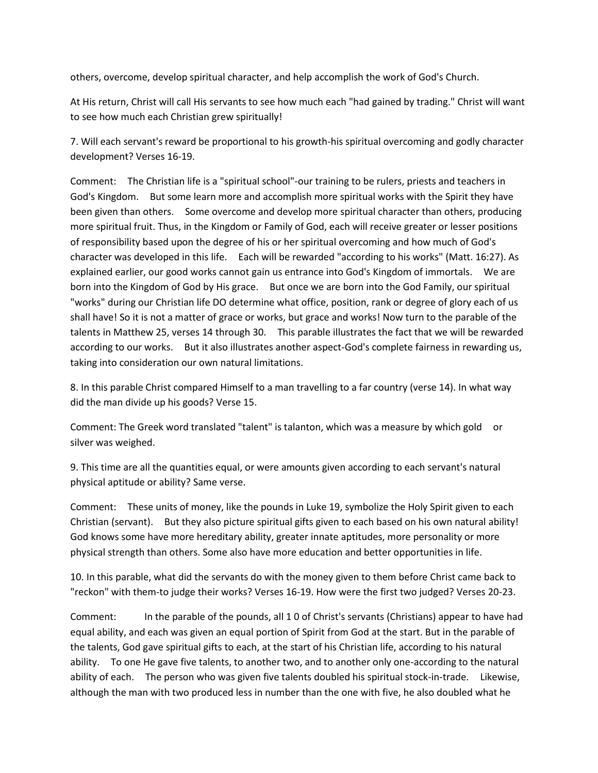others, overcome, develop spiritual character, and help accomplish the work of God's Church.

At His return, Christ will call His servants to see how much each "had gained by trading." Christ will want to see how much each Christian grew spiritually!

7. Will each servant's reward be proportional to his growth-his spiritual overcoming and godly character development? Verses 16-19.

Comment: The Christian life is a "spiritual school"-our training to be rulers, priests and teachers in God's Kingdom. But some learn more and accomplish more spiritual works with the Spirit they have been given than others. Some overcome and develop more spiritual character than others, producing more spiritual fruit. Thus, in the Kingdom or Family of God, each will receive greater or lesser positions of responsibility based upon the degree of his or her spiritual overcoming and how much of God's character was developed in this life. Each will be rewarded "according to his works" (Matt. 16:27). As explained earlier, our good works cannot gain us entrance into God's Kingdom of immortals. We are born into the Kingdom of God by His grace. But once we are born into the God Family, our spiritual "works" during our Christian life DO determine what office, position, rank or degree of glory each of us shall have! So it is not a matter of grace or works, but grace and works! Now turn to the parable of the talents in Matthew 25, verses 14 through 30. This parable illustrates the fact that we will be rewarded according to our works. But it also illustrates another aspect-God's complete fairness in rewarding us, taking into consideration our own natural limitations.

8. In this parable Christ compared Himself to a man travelling to a far country (verse 14). In what way did the man divide up his goods? Verse 15.

Comment: The Greek word translated "talent" is talanton, which was a measure by which gold or silver was weighed.

9. This time are all the quantities equal, or were amounts given according to each servant's natural physical aptitude or ability? Same verse.

Comment: These units of money, like the pounds in Luke 19, symbolize the Holy Spirit given to each Christian (servant). But they also picture spiritual gifts given to each based on his own natural ability! God knows some have more hereditary ability, greater innate aptitudes, more personality or more physical strength than others. Some also have more education and better opportunities in life.

10. In this parable, what did the servants do with the money given to them before Christ came back to "reckon" with them-to judge their works? Verses 16-19. How were the first two judged? Verses 20-23.

Comment: In the parable of the pounds, all 1 0 of Christ's servants (Christians) appear to have had equal ability, and each was given an equal portion of Spirit from God at the start. But in the parable of the talents, God gave spiritual gifts to each, at the start of his Christian life, according to his natural ability. To one He gave five talents, to another two, and to another only one-according to the natural ability of each. The person who was given five talents doubled his spiritual stock-in-trade. Likewise, although the man with two produced less in number than the one with five, he also doubled what he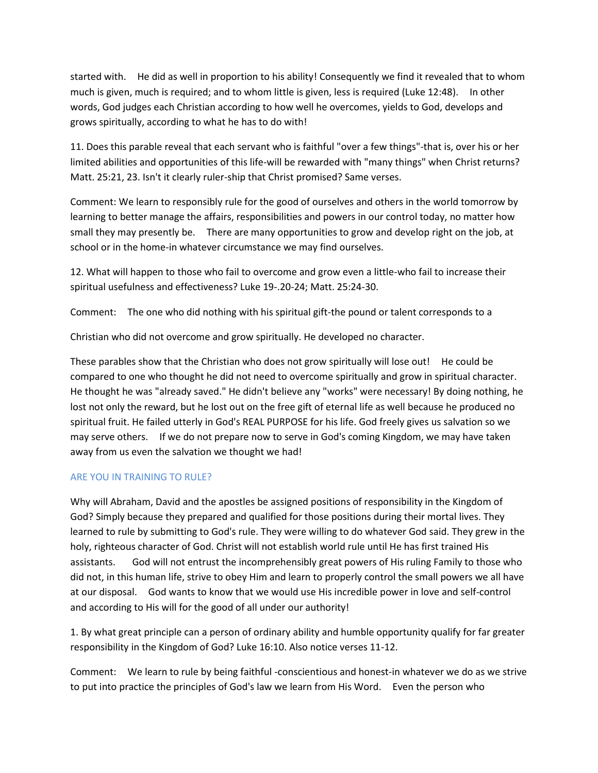started with. He did as well in proportion to his ability! Consequently we find it revealed that to whom much is given, much is required; and to whom little is given, less is required (Luke 12:48). In other words, God judges each Christian according to how well he overcomes, yields to God, develops and grows spiritually, according to what he has to do with!

11. Does this parable reveal that each servant who is faithful "over a few things"-that is, over his or her limited abilities and opportunities of this life-will be rewarded with "many things" when Christ returns? Matt. 25:21, 23. Isn't it clearly ruler-ship that Christ promised? Same verses.

Comment: We learn to responsibly rule for the good of ourselves and others in the world tomorrow by learning to better manage the affairs, responsibilities and powers in our control today, no matter how small they may presently be. There are many opportunities to grow and develop right on the job, at school or in the home-in whatever circumstance we may find ourselves.

12. What will happen to those who fail to overcome and grow even a little-who fail to increase their spiritual usefulness and effectiveness? Luke 19-.20-24; Matt. 25:24-30.

Comment: The one who did nothing with his spiritual gift-the pound or talent corresponds to a

Christian who did not overcome and grow spiritually. He developed no character.

These parables show that the Christian who does not grow spiritually will lose out! He could be compared to one who thought he did not need to overcome spiritually and grow in spiritual character. He thought he was "already saved." He didn't believe any "works" were necessary! By doing nothing, he lost not only the reward, but he lost out on the free gift of eternal life as well because he produced no spiritual fruit. He failed utterly in God's REAL PURPOSE for his life. God freely gives us salvation so we may serve others. If we do not prepare now to serve in God's coming Kingdom, we may have taken away from us even the salvation we thought we had!

## ARE YOU IN TRAINING TO RULE?

Why will Abraham, David and the apostles be assigned positions of responsibility in the Kingdom of God? Simply because they prepared and qualified for those positions during their mortal lives. They learned to rule by submitting to God's rule. They were willing to do whatever God said. They grew in the holy, righteous character of God. Christ will not establish world rule until He has first trained His assistants. God will not entrust the incomprehensibly great powers of His ruling Family to those who did not, in this human life, strive to obey Him and learn to properly control the small powers we all have at our disposal. God wants to know that we would use His incredible power in love and self-control and according to His will for the good of all under our authority!

1. By what great principle can a person of ordinary ability and humble opportunity qualify for far greater responsibility in the Kingdom of God? Luke 16:10. Also notice verses 11-12.

Comment: We learn to rule by being faithful -conscientious and honest-in whatever we do as we strive to put into practice the principles of God's law we learn from His Word. Even the person who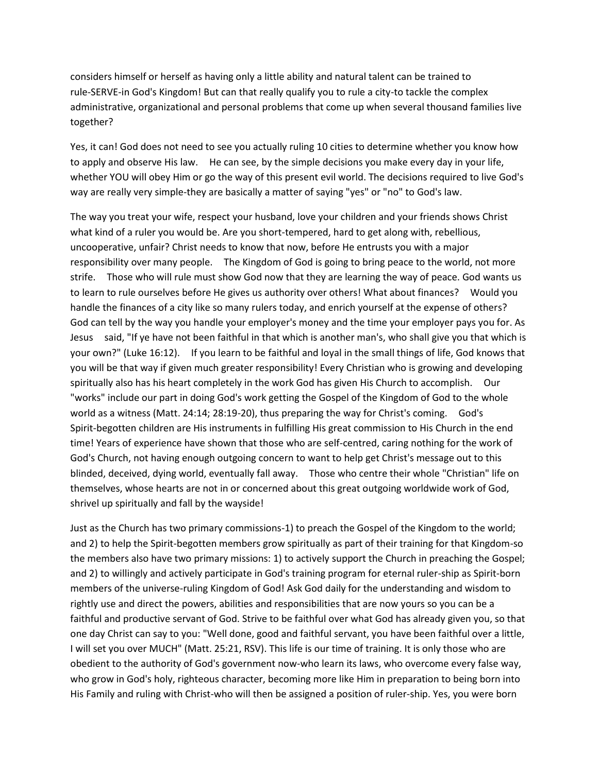considers himself or herself as having only a little ability and natural talent can be trained to rule-SERVE-in God's Kingdom! But can that really qualify you to rule a city-to tackle the complex administrative, organizational and personal problems that come up when several thousand families live together?

Yes, it can! God does not need to see you actually ruling 10 cities to determine whether you know how to apply and observe His law. He can see, by the simple decisions you make every day in your life, whether YOU will obey Him or go the way of this present evil world. The decisions required to live God's way are really very simple-they are basically a matter of saying "yes" or "no" to God's law.

The way you treat your wife, respect your husband, love your children and your friends shows Christ what kind of a ruler you would be. Are you short-tempered, hard to get along with, rebellious, uncooperative, unfair? Christ needs to know that now, before He entrusts you with a major responsibility over many people. The Kingdom of God is going to bring peace to the world, not more strife. Those who will rule must show God now that they are learning the way of peace. God wants us to learn to rule ourselves before He gives us authority over others! What about finances? Would you handle the finances of a city like so many rulers today, and enrich yourself at the expense of others? God can tell by the way you handle your employer's money and the time your employer pays you for. As Jesus said, "If ye have not been faithful in that which is another man's, who shall give you that which is your own?" (Luke 16:12). If you learn to be faithful and loyal in the small things of life, God knows that you will be that way if given much greater responsibility! Every Christian who is growing and developing spiritually also has his heart completely in the work God has given His Church to accomplish. Our "works" include our part in doing God's work getting the Gospel of the Kingdom of God to the whole world as a witness (Matt. 24:14; 28:19-20), thus preparing the way for Christ's coming. God's Spirit-begotten children are His instruments in fulfilling His great commission to His Church in the end time! Years of experience have shown that those who are self-centred, caring nothing for the work of God's Church, not having enough outgoing concern to want to help get Christ's message out to this blinded, deceived, dying world, eventually fall away. Those who centre their whole "Christian" life on themselves, whose hearts are not in or concerned about this great outgoing worldwide work of God, shrivel up spiritually and fall by the wayside!

Just as the Church has two primary commissions-1) to preach the Gospel of the Kingdom to the world; and 2) to help the Spirit-begotten members grow spiritually as part of their training for that Kingdom-so the members also have two primary missions: 1) to actively support the Church in preaching the Gospel; and 2) to willingly and actively participate in God's training program for eternal ruler-ship as Spirit-born members of the universe-ruling Kingdom of God! Ask God daily for the understanding and wisdom to rightly use and direct the powers, abilities and responsibilities that are now yours so you can be a faithful and productive servant of God. Strive to be faithful over what God has already given you, so that one day Christ can say to you: "Well done, good and faithful servant, you have been faithful over a little, I will set you over MUCH" (Matt. 25:21, RSV). This life is our time of training. It is only those who are obedient to the authority of God's government now-who learn its laws, who overcome every false way, who grow in God's holy, righteous character, becoming more like Him in preparation to being born into His Family and ruling with Christ-who will then be assigned a position of ruler-ship. Yes, you were born